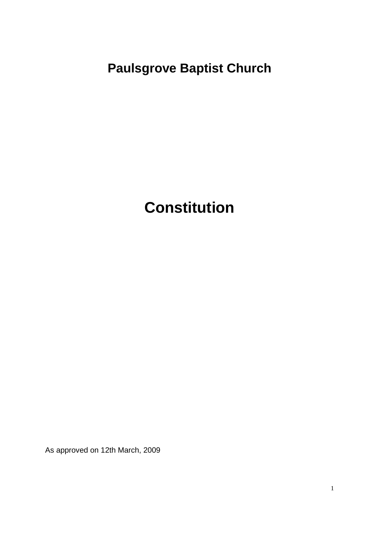**Paulsgrove Baptist Church**

**Constitution**

As approved on 12th March, 2009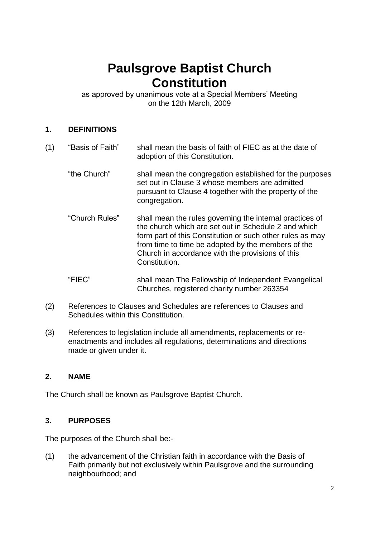# **Paulsgrove Baptist Church Constitution**

as approved by unanimous vote at a Special Members' Meeting on the 12th March, 2009

## **1. DEFINITIONS**

- (1) "Basis of Faith" shall mean the basis of faith of FIEC as at the date of adoption of this Constitution.
	- "the Church" shall mean the congregation established for the purposes set out in Clause 3 whose members are admitted pursuant to Clause 4 together with the property of the congregation.
	- "Church Rules" shall mean the rules governing the internal practices of the church which are set out in Schedule 2 and which form part of this Constitution or such other rules as may from time to time be adopted by the members of the Church in accordance with the provisions of this Constitution.
	- "FIEC" shall mean The Fellowship of Independent Evangelical Churches, registered charity number 263354
- (2) References to Clauses and Schedules are references to Clauses and Schedules within this Constitution.
- (3) References to legislation include all amendments, replacements or reenactments and includes all regulations, determinations and directions made or given under it.

## **2. NAME**

The Church shall be known as Paulsgrove Baptist Church.

## **3. PURPOSES**

The purposes of the Church shall be:-

(1) the advancement of the Christian faith in accordance with the Basis of Faith primarily but not exclusively within Paulsgrove and the surrounding neighbourhood; and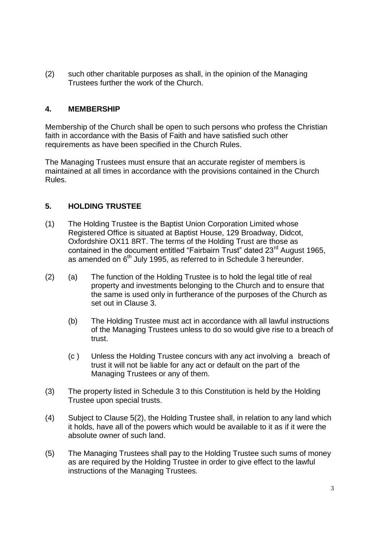(2) such other charitable purposes as shall, in the opinion of the Managing Trustees further the work of the Church.

## **4. MEMBERSHIP**

Membership of the Church shall be open to such persons who profess the Christian faith in accordance with the Basis of Faith and have satisfied such other requirements as have been specified in the Church Rules.

The Managing Trustees must ensure that an accurate register of members is maintained at all times in accordance with the provisions contained in the Church Rules.

## **5. HOLDING TRUSTEE**

- (1) The Holding Trustee is the Baptist Union Corporation Limited whose Registered Office is situated at Baptist House, 129 Broadway, Didcot, Oxfordshire OX11 8RT. The terms of the Holding Trust are those as contained in the document entitled "Fairbairn Trust" dated 23<sup>rd</sup> August 1965, as amended on 6<sup>th</sup> July 1995, as referred to in Schedule 3 hereunder.
- (2) (a) The function of the Holding Trustee is to hold the legal title of real property and investments belonging to the Church and to ensure that the same is used only in furtherance of the purposes of the Church as set out in Clause 3.
	- (b) The Holding Trustee must act in accordance with all lawful instructions of the Managing Trustees unless to do so would give rise to a breach of trust.
	- (c ) Unless the Holding Trustee concurs with any act involving a breach of trust it will not be liable for any act or default on the part of the Managing Trustees or any of them.
- (3) The property listed in Schedule 3 to this Constitution is held by the Holding Trustee upon special trusts.
- (4) Subject to Clause 5(2), the Holding Trustee shall, in relation to any land which it holds, have all of the powers which would be available to it as if it were the absolute owner of such land.
- (5) The Managing Trustees shall pay to the Holding Trustee such sums of money as are required by the Holding Trustee in order to give effect to the lawful instructions of the Managing Trustees.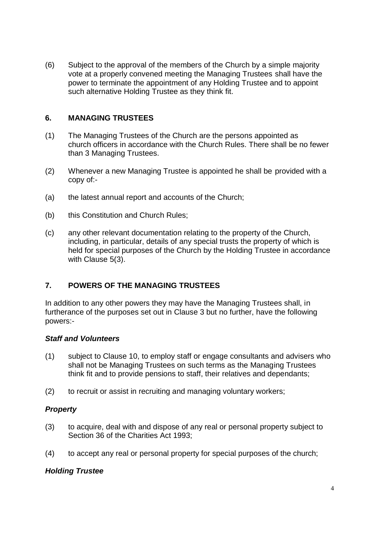(6) Subject to the approval of the members of the Church by a simple majority vote at a properly convened meeting the Managing Trustees shall have the power to terminate the appointment of any Holding Trustee and to appoint such alternative Holding Trustee as they think fit.

## **6. MANAGING TRUSTEES**

- (1) The Managing Trustees of the Church are the persons appointed as church officers in accordance with the Church Rules. There shall be no fewer than 3 Managing Trustees.
- (2) Whenever a new Managing Trustee is appointed he shall be provided with a copy of:-
- (a) the latest annual report and accounts of the Church;
- (b) this Constitution and Church Rules;
- (c) any other relevant documentation relating to the property of the Church, including, in particular, details of any special trusts the property of which is held for special purposes of the Church by the Holding Trustee in accordance with Clause 5(3).

## **7. POWERS OF THE MANAGING TRUSTEES**

In addition to any other powers they may have the Managing Trustees shall, in furtherance of the purposes set out in Clause 3 but no further, have the following powers:-

## *Staff and Volunteers*

- (1) subject to Clause 10, to employ staff or engage consultants and advisers who shall not be Managing Trustees on such terms as the Managing Trustees think fit and to provide pensions to staff, their relatives and dependants;
- (2) to recruit or assist in recruiting and managing voluntary workers;

## *Property*

- (3) to acquire, deal with and dispose of any real or personal property subject to Section 36 of the Charities Act 1993;
- (4) to accept any real or personal property for special purposes of the church;

## *Holding Trustee*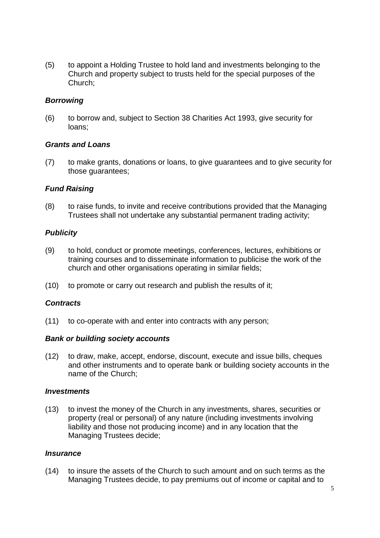(5) to appoint a Holding Trustee to hold land and investments belonging to the Church and property subject to trusts held for the special purposes of the Church;

## *Borrowing*

(6) to borrow and, subject to Section 38 Charities Act 1993, give security for loans;

#### *Grants and Loans*

(7) to make grants, donations or loans, to give guarantees and to give security for those guarantees;

## *Fund Raising*

(8) to raise funds, to invite and receive contributions provided that the Managing Trustees shall not undertake any substantial permanent trading activity;

## *Publicity*

- (9) to hold, conduct or promote meetings, conferences, lectures, exhibitions or training courses and to disseminate information to publicise the work of the church and other organisations operating in similar fields;
- (10) to promote or carry out research and publish the results of it;

## *Contracts*

(11) to co-operate with and enter into contracts with any person;

#### *Bank or building society accounts*

(12) to draw, make, accept, endorse, discount, execute and issue bills, cheques and other instruments and to operate bank or building society accounts in the name of the Church;

#### *Investments*

(13) to invest the money of the Church in any investments, shares, securities or property (real or personal) of any nature (including investments involving liability and those not producing income) and in any location that the Managing Trustees decide;

#### *Insurance*

(14) to insure the assets of the Church to such amount and on such terms as the Managing Trustees decide, to pay premiums out of income or capital and to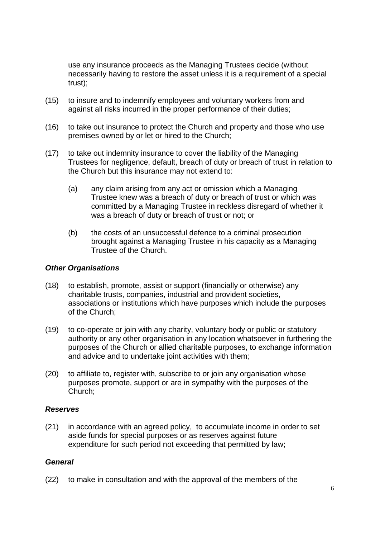use any insurance proceeds as the Managing Trustees decide (without necessarily having to restore the asset unless it is a requirement of a special trust);

- (15) to insure and to indemnify employees and voluntary workers from and against all risks incurred in the proper performance of their duties;
- (16) to take out insurance to protect the Church and property and those who use premises owned by or let or hired to the Church;
- (17) to take out indemnity insurance to cover the liability of the Managing Trustees for negligence, default, breach of duty or breach of trust in relation to the Church but this insurance may not extend to:
	- (a) any claim arising from any act or omission which a Managing Trustee knew was a breach of duty or breach of trust or which was committed by a Managing Trustee in reckless disregard of whether it was a breach of duty or breach of trust or not; or
	- (b) the costs of an unsuccessful defence to a criminal prosecution brought against a Managing Trustee in his capacity as a Managing Trustee of the Church.

## *Other Organisations*

- (18) to establish, promote, assist or support (financially or otherwise) any charitable trusts, companies, industrial and provident societies, associations or institutions which have purposes which include the purposes of the Church;
- (19) to co-operate or join with any charity, voluntary body or public or statutory authority or any other organisation in any location whatsoever in furthering the purposes of the Church or allied charitable purposes, to exchange information and advice and to undertake joint activities with them;
- (20) to affiliate to, register with, subscribe to or join any organisation whose purposes promote, support or are in sympathy with the purposes of the Church;

## *Reserves*

(21) in accordance with an agreed policy, to accumulate income in order to set aside funds for special purposes or as reserves against future expenditure for such period not exceeding that permitted by law;

## *General*

(22) to make in consultation and with the approval of the members of the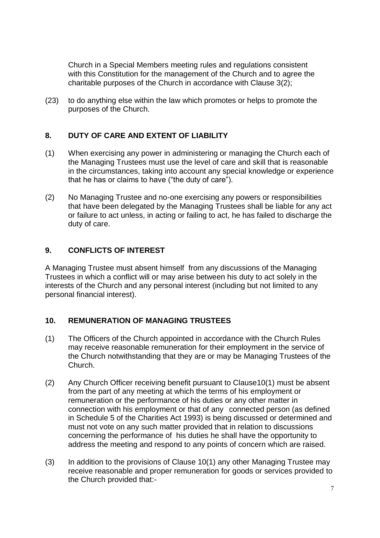Church in a Special Members meeting rules and regulations consistent with this Constitution for the management of the Church and to agree the charitable purposes of the Church in accordance with Clause 3(2);

(23) to do anything else within the law which promotes or helps to promote the purposes of the Church.

## **8. DUTY OF CARE AND EXTENT OF LIABILITY**

- (1) When exercising any power in administering or managing the Church each of the Managing Trustees must use the level of care and skill that is reasonable in the circumstances, taking into account any special knowledge or experience that he has or claims to have ("the duty of care").
- (2) No Managing Trustee and no-one exercising any powers or responsibilities that have been delegated by the Managing Trustees shall be liable for any act or failure to act unless, in acting or failing to act, he has failed to discharge the duty of care.

## **9. CONFLICTS OF INTEREST**

A Managing Trustee must absent himself from any discussions of the Managing Trustees in which a conflict will or may arise between his duty to act solely in the interests of the Church and any personal interest (including but not limited to any personal financial interest).

## **10. REMUNERATION OF MANAGING TRUSTEES**

- (1) The Officers of the Church appointed in accordance with the Church Rules may receive reasonable remuneration for their employment in the service of the Church notwithstanding that they are or may be Managing Trustees of the Church.
- (2) Any Church Officer receiving benefit pursuant to Clause10(1) must be absent from the part of any meeting at which the terms of his employment or remuneration or the performance of his duties or any other matter in connection with his employment or that of any connected person (as defined in Schedule 5 of the Charities Act 1993) is being discussed or determined and must not vote on any such matter provided that in relation to discussions concerning the performance of his duties he shall have the opportunity to address the meeting and respond to any points of concern which are raised.
- (3) In addition to the provisions of Clause 10(1) any other Managing Trustee may receive reasonable and proper remuneration for goods or services provided to the Church provided that:-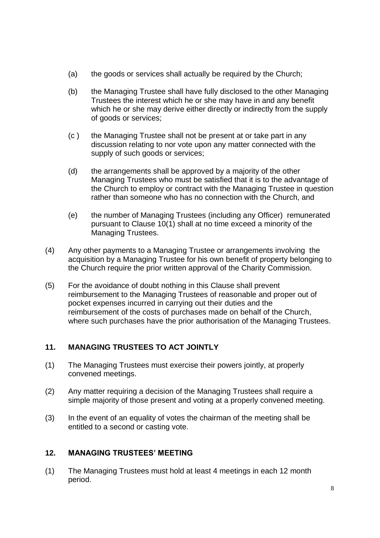- (a) the goods or services shall actually be required by the Church;
- (b) the Managing Trustee shall have fully disclosed to the other Managing Trustees the interest which he or she may have in and any benefit which he or she may derive either directly or indirectly from the supply of goods or services;
- (c ) the Managing Trustee shall not be present at or take part in any discussion relating to nor vote upon any matter connected with the supply of such goods or services;
- (d) the arrangements shall be approved by a majority of the other Managing Trustees who must be satisfied that it is to the advantage of the Church to employ or contract with the Managing Trustee in question rather than someone who has no connection with the Church, and
- (e) the number of Managing Trustees (including any Officer) remunerated pursuant to Clause 10(1) shall at no time exceed a minority of the Managing Trustees.
- (4) Any other payments to a Managing Trustee or arrangements involving the acquisition by a Managing Trustee for his own benefit of property belonging to the Church require the prior written approval of the Charity Commission.
- (5) For the avoidance of doubt nothing in this Clause shall prevent reimbursement to the Managing Trustees of reasonable and proper out of pocket expenses incurred in carrying out their duties and the reimbursement of the costs of purchases made on behalf of the Church, where such purchases have the prior authorisation of the Managing Trustees.

## **11. MANAGING TRUSTEES TO ACT JOINTLY**

- (1) The Managing Trustees must exercise their powers jointly, at properly convened meetings.
- (2) Any matter requiring a decision of the Managing Trustees shall require a simple majority of those present and voting at a properly convened meeting.
- (3) In the event of an equality of votes the chairman of the meeting shall be entitled to a second or casting vote.

## **12. MANAGING TRUSTEES' MEETING**

(1) The Managing Trustees must hold at least 4 meetings in each 12 month period.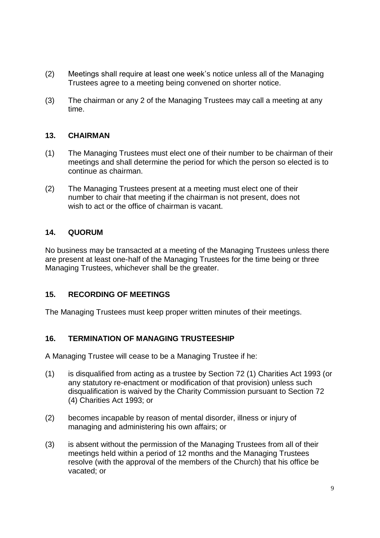- (2) Meetings shall require at least one week's notice unless all of the Managing Trustees agree to a meeting being convened on shorter notice.
- (3) The chairman or any 2 of the Managing Trustees may call a meeting at any time.

## **13. CHAIRMAN**

- (1) The Managing Trustees must elect one of their number to be chairman of their meetings and shall determine the period for which the person so elected is to continue as chairman.
- (2) The Managing Trustees present at a meeting must elect one of their number to chair that meeting if the chairman is not present, does not wish to act or the office of chairman is vacant.

## **14. QUORUM**

No business may be transacted at a meeting of the Managing Trustees unless there are present at least one-half of the Managing Trustees for the time being or three Managing Trustees, whichever shall be the greater.

## **15. RECORDING OF MEETINGS**

The Managing Trustees must keep proper written minutes of their meetings.

## **16. TERMINATION OF MANAGING TRUSTEESHIP**

A Managing Trustee will cease to be a Managing Trustee if he:

- (1) is disqualified from acting as a trustee by Section 72 (1) Charities Act 1993 (or any statutory re-enactment or modification of that provision) unless such disqualification is waived by the Charity Commission pursuant to Section 72 (4) Charities Act 1993; or
- (2) becomes incapable by reason of mental disorder, illness or injury of managing and administering his own affairs; or
- (3) is absent without the permission of the Managing Trustees from all of their meetings held within a period of 12 months and the Managing Trustees resolve (with the approval of the members of the Church) that his office be vacated; or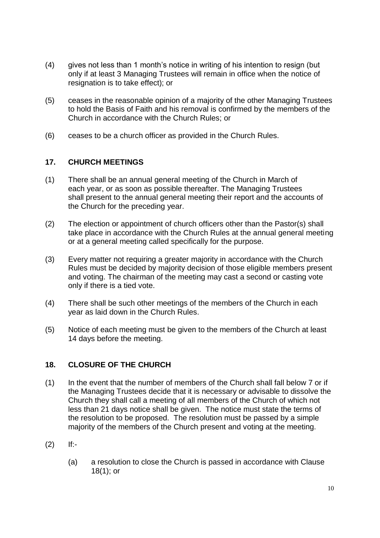- (4) gives not less than 1 month's notice in writing of his intention to resign (but only if at least 3 Managing Trustees will remain in office when the notice of resignation is to take effect); or
- (5) ceases in the reasonable opinion of a majority of the other Managing Trustees to hold the Basis of Faith and his removal is confirmed by the members of the Church in accordance with the Church Rules; or
- (6) ceases to be a church officer as provided in the Church Rules.

## **17. CHURCH MEETINGS**

- (1) There shall be an annual general meeting of the Church in March of each year, or as soon as possible thereafter. The Managing Trustees shall present to the annual general meeting their report and the accounts of the Church for the preceding year.
- (2) The election or appointment of church officers other than the Pastor(s) shall take place in accordance with the Church Rules at the annual general meeting or at a general meeting called specifically for the purpose.
- (3) Every matter not requiring a greater majority in accordance with the Church Rules must be decided by majority decision of those eligible members present and voting. The chairman of the meeting may cast a second or casting vote only if there is a tied vote.
- (4) There shall be such other meetings of the members of the Church in each year as laid down in the Church Rules.
- (5) Notice of each meeting must be given to the members of the Church at least 14 days before the meeting.

## **18. CLOSURE OF THE CHURCH**

- (1) In the event that the number of members of the Church shall fall below 7 or if the Managing Trustees decide that it is necessary or advisable to dissolve the Church they shall call a meeting of all members of the Church of which not less than 21 days notice shall be given. The notice must state the terms of the resolution to be proposed. The resolution must be passed by a simple majority of the members of the Church present and voting at the meeting.
- (2) If:-
	- (a) a resolution to close the Church is passed in accordance with Clause 18(1); or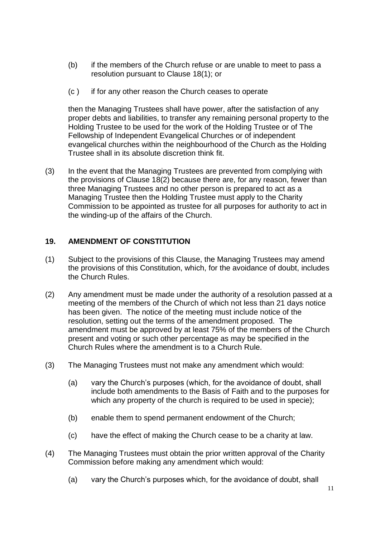- (b) if the members of the Church refuse or are unable to meet to pass a resolution pursuant to Clause 18(1); or
- (c ) if for any other reason the Church ceases to operate

then the Managing Trustees shall have power, after the satisfaction of any proper debts and liabilities, to transfer any remaining personal property to the Holding Trustee to be used for the work of the Holding Trustee or of The Fellowship of Independent Evangelical Churches or of independent evangelical churches within the neighbourhood of the Church as the Holding Trustee shall in its absolute discretion think fit.

(3) In the event that the Managing Trustees are prevented from complying with the provisions of Clause 18(2) because there are, for any reason, fewer than three Managing Trustees and no other person is prepared to act as a Managing Trustee then the Holding Trustee must apply to the Charity Commission to be appointed as trustee for all purposes for authority to act in the winding-up of the affairs of the Church.

## **19. AMENDMENT OF CONSTITUTION**

- (1) Subject to the provisions of this Clause, the Managing Trustees may amend the provisions of this Constitution, which, for the avoidance of doubt, includes the Church Rules.
- (2) Any amendment must be made under the authority of a resolution passed at a meeting of the members of the Church of which not less than 21 days notice has been given. The notice of the meeting must include notice of the resolution, setting out the terms of the amendment proposed. The amendment must be approved by at least 75% of the members of the Church present and voting or such other percentage as may be specified in the Church Rules where the amendment is to a Church Rule.
- (3) The Managing Trustees must not make any amendment which would:
	- (a) vary the Church's purposes (which, for the avoidance of doubt, shall include both amendments to the Basis of Faith and to the purposes for which any property of the church is required to be used in specie);
	- (b) enable them to spend permanent endowment of the Church;
	- (c) have the effect of making the Church cease to be a charity at law.
- (4) The Managing Trustees must obtain the prior written approval of the Charity Commission before making any amendment which would:
	- (a) vary the Church's purposes which, for the avoidance of doubt, shall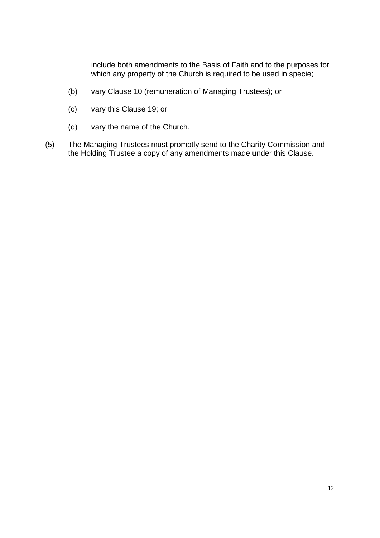include both amendments to the Basis of Faith and to the purposes for which any property of the Church is required to be used in specie;

- (b) vary Clause 10 (remuneration of Managing Trustees); or
- (c) vary this Clause 19; or
- (d) vary the name of the Church.
- (5) The Managing Trustees must promptly send to the Charity Commission and the Holding Trustee a copy of any amendments made under this Clause.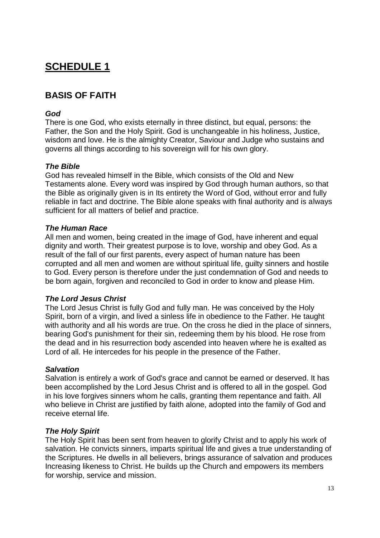## **SCHEDULE 1**

## **BASIS OF FAITH**

## *God*

There is one God, who exists eternally in three distinct, but equal, persons: the Father, the Son and the Holy Spirit. God is unchangeable in his holiness, Justice, wisdom and love. He is the almighty Creator, Saviour and Judge who sustains and governs all things according to his sovereign will for his own glory.

## *The Bible*

God has revealed himself in the Bible, which consists of the Old and New Testaments alone. Every word was inspired by God through human authors, so that the Bible as originally given is in Its entirety the Word of God, without error and fully reliable in fact and doctrine. The Bible alone speaks with final authority and is always sufficient for all matters of belief and practice.

## *The Human Race*

All men and women, being created in the image of God, have inherent and equal dignity and worth. Their greatest purpose is to love, worship and obey God. As a result of the fall of our first parents, every aspect of human nature has been corrupted and all men and women are without spiritual life, guilty sinners and hostile to God. Every person is therefore under the just condemnation of God and needs to be born again, forgiven and reconciled to God in order to know and please Him.

## *The Lord Jesus Christ*

The Lord Jesus Christ is fully God and fully man. He was conceived by the Holy Spirit, born of a virgin, and lived a sinless life in obedience to the Father. He taught with authority and all his words are true. On the cross he died in the place of sinners, bearing God's punishment for their sin, redeeming them by his blood. He rose from the dead and in his resurrection body ascended into heaven where he is exalted as Lord of all. He intercedes for his people in the presence of the Father.

## *Salvation*

Salvation is entirely a work of God's grace and cannot be earned or deserved. It has been accomplished by the Lord Jesus Christ and is offered to all in the gospel. God in his love forgives sinners whom he calls, granting them repentance and faith. All who believe in Christ are justified by faith alone, adopted into the family of God and receive eternal life.

## *The Holy Spirit*

The Holy Spirit has been sent from heaven to glorify Christ and to apply his work of salvation. He convicts sinners, imparts spiritual life and gives a true understanding of the Scriptures. He dwells in all believers, brings assurance of salvation and produces Increasing likeness to Christ. He builds up the Church and empowers its members for worship, service and mission.